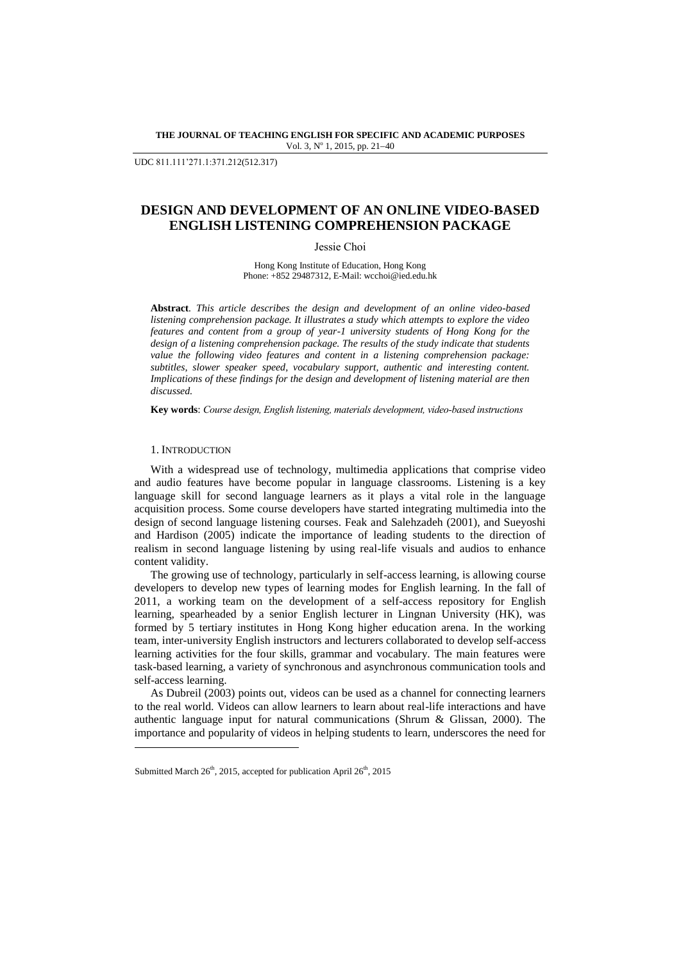#### **THE JOURNAL OF TEACHING ENGLISH FOR SPECIFIC AND ACADEMIC PURPOSES** Vol. 3, Nº 1, 2015, pp. 21-40

UDC 811.111'271.1:371.212(512.317)

# **DESIGN AND DEVELOPMENT OF AN ONLINE VIDEO-BASED ENGLISH LISTENING COMPREHENSION PACKAGE**

Jessie Choi

Hong Kong Institute of Education, Hong Kong Phone: +852 29487312, E-Mail: wcchoi@ied.edu.hk

**Abstract***. This article describes the design and development of an online video-based listening comprehension package. It illustrates a study which attempts to explore the video features and content from a group of year-1 university students of Hong Kong for the design of a listening comprehension package. The results of the study indicate that students value the following video features and content in a listening comprehension package: subtitles, slower speaker speed, vocabulary support, authentic and interesting content. Implications of these findings for the design and development of listening material are then discussed.*

**Key words**: *Course design, English listening, materials development, video-based instructions*

## 1. INTRODUCTION

l

With a widespread use of technology, multimedia applications that comprise video and audio features have become popular in language classrooms. Listening is a key language skill for second language learners as it plays a vital role in the language acquisition process. Some course developers have started integrating multimedia into the design of second language listening courses. Feak and Salehzadeh (2001), and Sueyoshi and Hardison (2005) indicate the importance of leading students to the direction of realism in second language listening by using real-life visuals and audios to enhance content validity.

The growing use of technology, particularly in self-access learning, is allowing course developers to develop new types of learning modes for English learning. In the fall of 2011, a working team on the development of a self-access repository for English learning, spearheaded by a senior English lecturer in Lingnan University (HK), was formed by 5 tertiary institutes in Hong Kong higher education arena. In the working team, inter-university English instructors and lecturers collaborated to develop self-access learning activities for the four skills, grammar and vocabulary. The main features were task-based learning, a variety of synchronous and asynchronous communication tools and self-access learning.

As Dubreil (2003) points out, videos can be used as a channel for connecting learners to the real world. Videos can allow learners to learn about real-life interactions and have authentic language input for natural communications (Shrum & Glissan, 2000). The importance and popularity of videos in helping students to learn, underscores the need for

Submitted March  $26<sup>th</sup>$ , 2015, accepted for publication April  $26<sup>th</sup>$ , 2015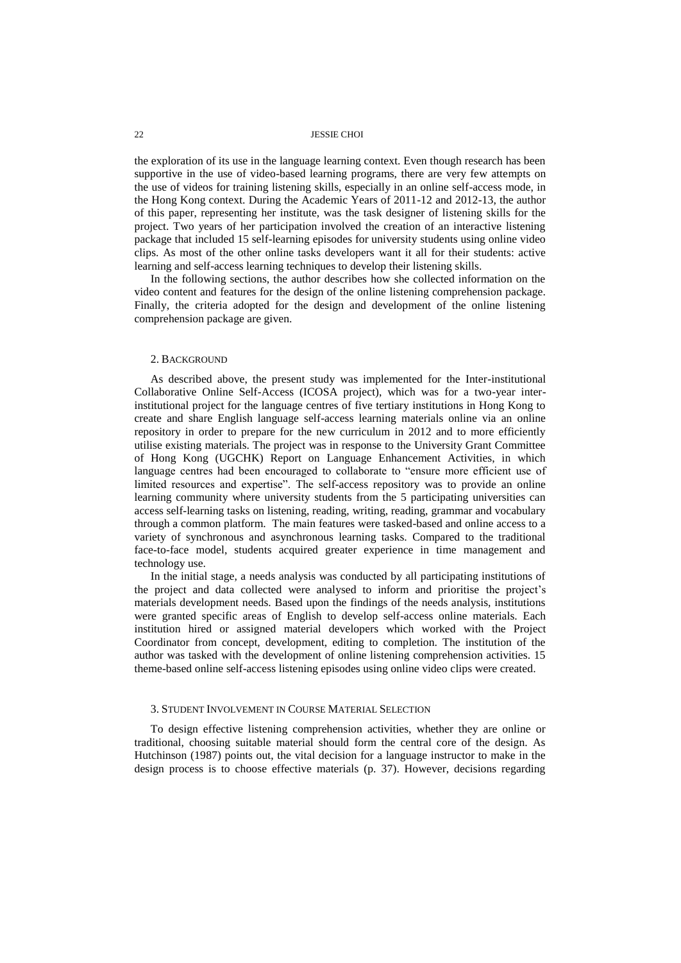the exploration of its use in the language learning context. Even though research has been supportive in the use of video-based learning programs, there are very few attempts on the use of videos for training listening skills, especially in an online self-access mode, in the Hong Kong context. During the Academic Years of 2011-12 and 2012-13, the author of this paper, representing her institute, was the task designer of listening skills for the project. Two years of her participation involved the creation of an interactive listening package that included 15 self-learning episodes for university students using online video clips. As most of the other online tasks developers want it all for their students: active learning and self-access learning techniques to develop their listening skills.

In the following sections, the author describes how she collected information on the video content and features for the design of the online listening comprehension package. Finally, the criteria adopted for the design and development of the online listening comprehension package are given.

#### 2. BACKGROUND

As described above, the present study was implemented for the Inter-institutional Collaborative Online Self-Access (ICOSA project), which was for a two-year interinstitutional project for the language centres of five tertiary institutions in Hong Kong to create and share English language self-access learning materials online via an online repository in order to prepare for the new curriculum in 2012 and to more efficiently utilise existing materials. The project was in response to the University Grant Committee of Hong Kong (UGCHK) Report on Language Enhancement Activities, in which language centres had been encouraged to collaborate to "ensure more efficient use of limited resources and expertise". The self-access repository was to provide an online learning community where university students from the 5 participating universities can access self-learning tasks on listening, reading, writing, reading, grammar and vocabulary through a common platform. The main features were tasked-based and online access to a variety of synchronous and asynchronous learning tasks. Compared to the traditional face-to-face model, students acquired greater experience in time management and technology use.

In the initial stage, a needs analysis was conducted by all participating institutions of the project and data collected were analysed to inform and prioritise the project's materials development needs. Based upon the findings of the needs analysis, institutions were granted specific areas of English to develop self-access online materials. Each institution hired or assigned material developers which worked with the Project Coordinator from concept, development, editing to completion. The institution of the author was tasked with the development of online listening comprehension activities. 15 theme-based online self-access listening episodes using online video clips were created.

## 3. STUDENT INVOLVEMENT IN COURSE MATERIAL SELECTION

To design effective listening comprehension activities, whether they are online or traditional, choosing suitable material should form the central core of the design. As Hutchinson (1987) points out, the vital decision for a language instructor to make in the design process is to choose effective materials (p. 37). However, decisions regarding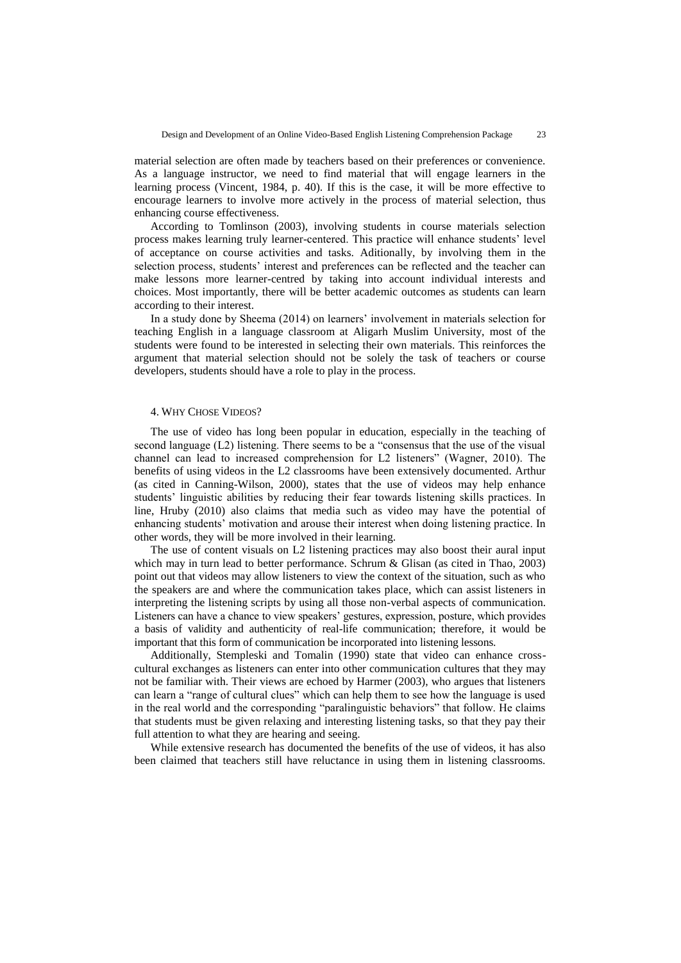material selection are often made by teachers based on their preferences or convenience. As a language instructor, we need to find material that will engage learners in the learning process (Vincent, 1984, p. 40). If this is the case, it will be more effective to encourage learners to involve more actively in the process of material selection, thus enhancing course effectiveness.

According to Tomlinson (2003), involving students in course materials selection process makes learning truly learner-centered. This practice will enhance students' level of acceptance on course activities and tasks. Aditionally, by involving them in the selection process, students' interest and preferences can be reflected and the teacher can make lessons more learner-centred by taking into account individual interests and choices. Most importantly, there will be better academic outcomes as students can learn according to their interest.

In a study done by Sheema (2014) on learners' involvement in materials selection for teaching English in a language classroom at Aligarh Muslim University, most of the students were found to be interested in selecting their own materials. This reinforces the argument that material selection should not be solely the task of teachers or course developers, students should have a role to play in the process.

## 4. WHY CHOSE VIDEOS?

The use of video has long been popular in education, especially in the teaching of second language (L2) listening. There seems to be a "consensus that the use of the visual channel can lead to increased comprehension for L2 listeners" (Wagner, 2010). The benefits of using videos in the L2 classrooms have been extensively documented. Arthur (as cited in Canning-Wilson, 2000), states that the use of videos may help enhance students' linguistic abilities by reducing their fear towards listening skills practices. In line, Hruby (2010) also claims that media such as video may have the potential of enhancing students' motivation and arouse their interest when doing listening practice. In other words, they will be more involved in their learning.

The use of content visuals on L2 listening practices may also boost their aural input which may in turn lead to better performance. Schrum & Glisan (as cited in Thao, 2003) point out that videos may allow listeners to view the context of the situation, such as who the speakers are and where the communication takes place, which can assist listeners in interpreting the listening scripts by using all those non-verbal aspects of communication. Listeners can have a chance to view speakers' gestures, expression, posture, which provides a basis of validity and authenticity of real-life communication; therefore, it would be important that this form of communication be incorporated into listening lessons.

Additionally, Stempleski and Tomalin (1990) state that video can enhance crosscultural exchanges as listeners can enter into other communication cultures that they may not be familiar with. Their views are echoed by Harmer (2003), who argues that listeners can learn a "range of cultural clues" which can help them to see how the language is used in the real world and the corresponding "paralinguistic behaviors" that follow. He claims that students must be given relaxing and interesting listening tasks, so that they pay their full attention to what they are hearing and seeing.

While extensive research has documented the benefits of the use of videos, it has also been claimed that teachers still have reluctance in using them in listening classrooms.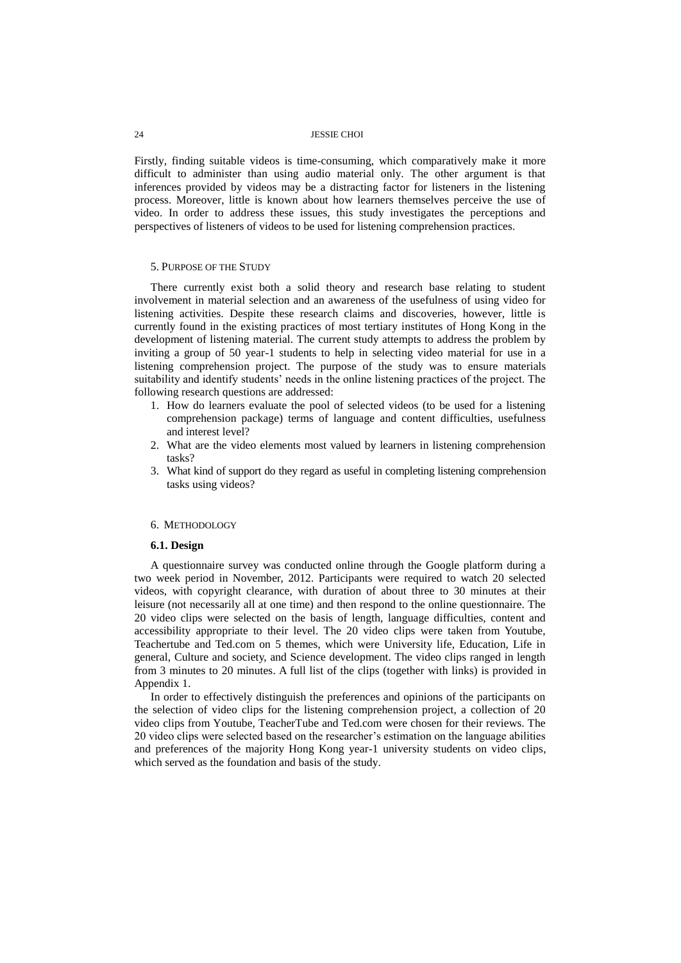Firstly, finding suitable videos is time-consuming, which comparatively make it more difficult to administer than using audio material only. The other argument is that inferences provided by videos may be a distracting factor for listeners in the listening process. Moreover, little is known about how learners themselves perceive the use of video. In order to address these issues, this study investigates the perceptions and perspectives of listeners of videos to be used for listening comprehension practices.

#### 5. PURPOSE OF THE STUDY

There currently exist both a solid theory and research base relating to student involvement in material selection and an awareness of the usefulness of using video for listening activities. Despite these research claims and discoveries, however, little is currently found in the existing practices of most tertiary institutes of Hong Kong in the development of listening material. The current study attempts to address the problem by inviting a group of 50 year-1 students to help in selecting video material for use in a listening comprehension project. The purpose of the study was to ensure materials suitability and identify students' needs in the online listening practices of the project. The following research questions are addressed:

- 1. How do learners evaluate the pool of selected videos (to be used for a listening comprehension package) terms of language and content difficulties, usefulness and interest level?
- 2. What are the video elements most valued by learners in listening comprehension tasks?
- 3. What kind of support do they regard as useful in completing listening comprehension tasks using videos?

#### 6. METHODOLOGY

### **6.1. Design**

A questionnaire survey was conducted online through the Google platform during a two week period in November, 2012. Participants were required to watch 20 selected videos, with copyright clearance, with duration of about three to 30 minutes at their leisure (not necessarily all at one time) and then respond to the online questionnaire. The 20 video clips were selected on the basis of length, language difficulties, content and accessibility appropriate to their level. The 20 video clips were taken from Youtube, Teachertube and Ted.com on 5 themes, which were University life, Education, Life in general, Culture and society, and Science development. The video clips ranged in length from 3 minutes to 20 minutes. A full list of the clips (together with links) is provided in Appendix 1.

In order to effectively distinguish the preferences and opinions of the participants on the selection of video clips for the listening comprehension project, a collection of 20 video clips from Youtube, TeacherTube and Ted.com were chosen for their reviews. The 20 video clips were selected based on the researcher's estimation on the language abilities and preferences of the majority Hong Kong year-1 university students on video clips, which served as the foundation and basis of the study.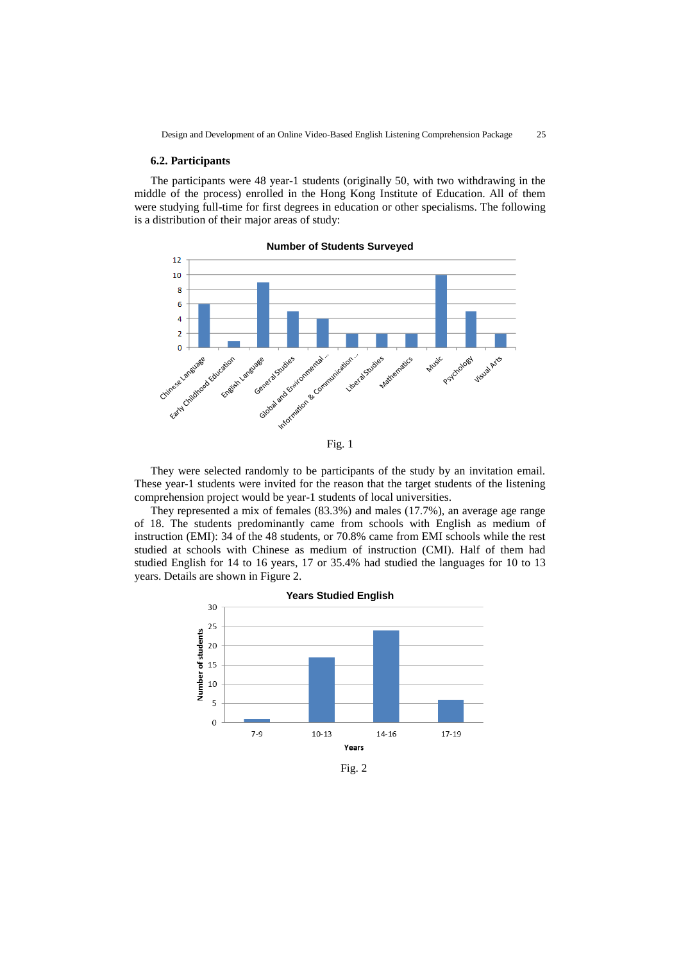### **6.2. Participants**

The participants were 48 year-1 students (originally 50, with two withdrawing in the middle of the process) enrolled in the Hong Kong Institute of Education. All of them were studying full-time for first degrees in education or other specialisms. The following is a distribution of their major areas of study:



**Number of Students Surveyed**



They were selected randomly to be participants of the study by an invitation email. These year-1 students were invited for the reason that the target students of the listening comprehension project would be year-1 students of local universities.

They represented a mix of females (83.3%) and males (17.7%), an average age range of 18. The students predominantly came from schools with English as medium of instruction (EMI): 34 of the 48 students, or 70.8% came from EMI schools while the rest studied at schools with Chinese as medium of instruction (CMI). Half of them had studied English for 14 to 16 years, 17 or 35.4% had studied the languages for 10 to 13 years. Details are shown in Figure 2.



Fig. 2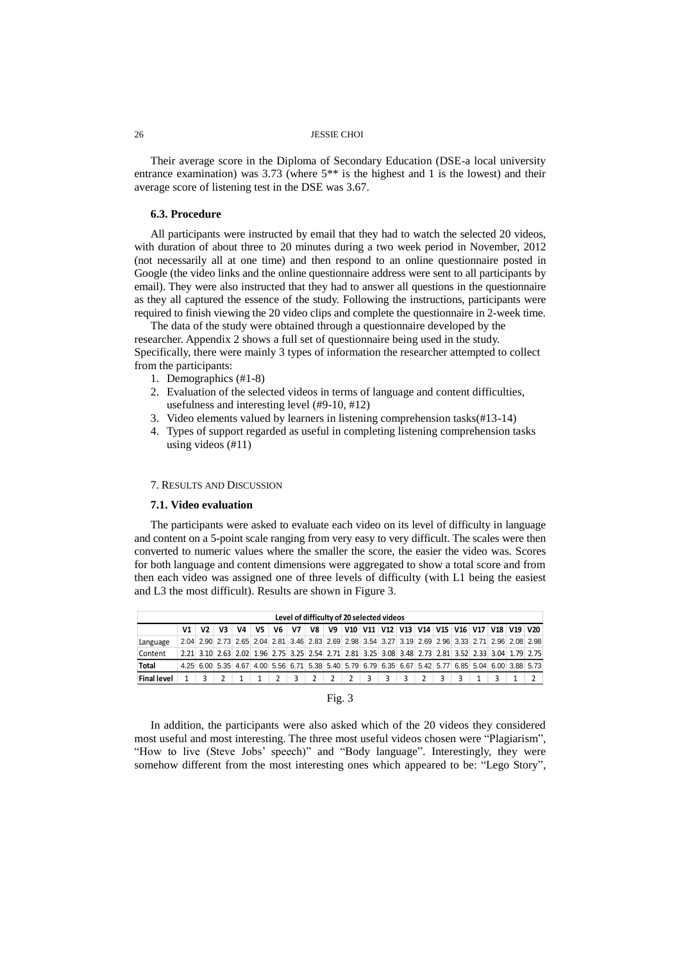Their average score in the Diploma of Secondary Education (DSE-a local university entrance examination) was 3.73 (where 5\*\* is the highest and 1 is the lowest) and their average score of listening test in the DSE was 3.67.

#### **6.3. Procedure**

All participants were instructed by email that they had to watch the selected 20 videos, with duration of about three to 20 minutes during a two week period in November, 2012 (not necessarily all at one time) and then respond to an online questionnaire posted in Google (the video links and the online questionnaire address were sent to all participants by email). They were also instructed that they had to answer all questions in the questionnaire as they all captured the essence of the study. Following the instructions, participants were required to finish viewing the 20 video clips and complete the questionnaire in 2-week time.

The data of the study were obtained through a questionnaire developed by the researcher. Appendix 2 shows a full set of questionnaire being used in the study. Specifically, there were mainly 3 types of information the researcher attempted to collect from the participants:

- 1. Demographics (#1-8)
- 2. Evaluation of the selected videos in terms of language and content difficulties, usefulness and interesting level (#9-10, #12)
- 3. Video elements valued by learners in listening comprehension tasks(#13-14)
- 4. Types of support regarded as useful in completing listening comprehension tasks using videos (#11)

## 7. RESULTS AND DISCUSSION

### **7.1. Video evaluation**

The participants were asked to evaluate each video on its level of difficulty in language and content on a 5-point scale ranging from very easy to very difficult. The scales were then converted to numeric values where the smaller the score, the easier the video was. Scores for both language and content dimensions were aggregated to show a total score and from then each video was assigned one of three levels of difficulty (with L1 being the easiest and L3 the most difficult). Results are shown in Figure 3.

|                    | Level of difficulty of 20 selected videos |                |    |    |                                                                                                     |                |    |                 |   |            |   |  |  |  |                                                   |
|--------------------|-------------------------------------------|----------------|----|----|-----------------------------------------------------------------------------------------------------|----------------|----|-----------------|---|------------|---|--|--|--|---------------------------------------------------|
|                    | V1 l                                      | V <sub>2</sub> | V3 | V4 | V <sub>5</sub>                                                                                      | V <sub>6</sub> | V7 |                 |   |            |   |  |  |  | V8 V9 V10 V11 V12 V13 V14 V15 V16 V17 V18 V19 V20 |
| Language           |                                           |                |    |    | 2.04 2.90 2.73 2.65 2.04 2.81 3.46 2.83 2.69 2.98 3.54 3.27 3.19 2.69 2.96 3.33 2.71 2.96 2.08 2.98 |                |    |                 |   |            |   |  |  |  |                                                   |
| Content            |                                           |                |    |    | 2.21 3.10 2.63 2.02 1.96 2.75 3.25 2.54 2.71 2.81 3.25 3.08 3.48 2.73 2.81 3.52 2.33 3.04 1.79 2.75 |                |    |                 |   |            |   |  |  |  |                                                   |
| Total              |                                           |                |    |    | 4.25 6.00 5.35 4.67 4.00 5.56 6.71 5.38 5.40 5.79 6.79 6.35 6.67 5.42 5.77 6.85 5.04 6.00 3.88 5.73 |                |    |                 |   |            |   |  |  |  |                                                   |
| <b>Final level</b> |                                           |                |    |    |                                                                                                     |                |    | $3 \mid 2 \mid$ | 2 | $2 \mid 3$ | 3 |  |  |  |                                                   |

## Fig. 3

In addition, the participants were also asked which of the 20 videos they considered most useful and most interesting. The three most useful videos chosen were "Plagiarism", "How to live (Steve Jobs' speech)" and "Body language". Interestingly, they were somehow different from the most interesting ones which appeared to be: "Lego Story",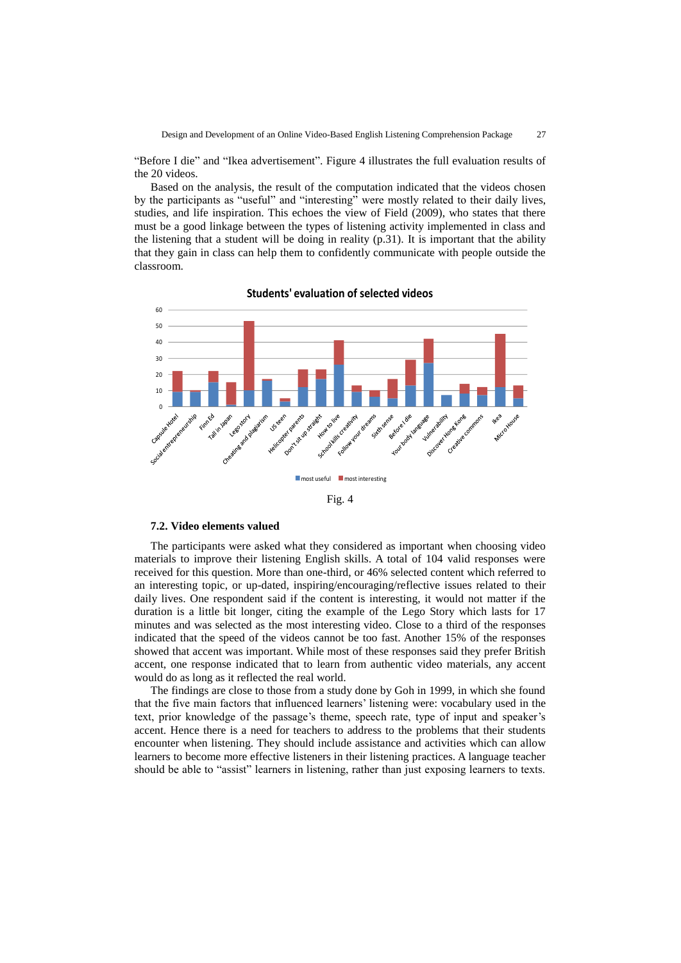"Before I die" and "Ikea advertisement". Figure 4 illustrates the full evaluation results of the 20 videos.

Based on the analysis, the result of the computation indicated that the videos chosen by the participants as "useful" and "interesting" were mostly related to their daily lives, studies, and life inspiration. This echoes the view of Field (2009), who states that there must be a good linkage between the types of listening activity implemented in class and the listening that a student will be doing in reality  $(p.31)$ . It is important that the ability that they gain in class can help them to confidently communicate with people outside the classroom.



**Students' evaluation of selected videos**

Fig. 4

#### **7.2. Video elements valued**

The participants were asked what they considered as important when choosing video materials to improve their listening English skills. A total of 104 valid responses were received for this question. More than one-third, or 46% selected content which referred to an interesting topic, or up-dated, inspiring/encouraging/reflective issues related to their daily lives. One respondent said if the content is interesting, it would not matter if the duration is a little bit longer, citing the example of the Lego Story which lasts for 17 minutes and was selected as the most interesting video. Close to a third of the responses indicated that the speed of the videos cannot be too fast. Another 15% of the responses showed that accent was important. While most of these responses said they prefer British accent, one response indicated that to learn from authentic video materials, any accent would do as long as it reflected the real world.

The findings are close to those from a study done by Goh in 1999, in which she found that the five main factors that influenced learners' listening were: vocabulary used in the text, prior knowledge of the passage's theme, speech rate, type of input and speaker's accent. Hence there is a need for teachers to address to the problems that their students encounter when listening. They should include assistance and activities which can allow learners to become more effective listeners in their listening practices. A language teacher should be able to "assist" learners in listening, rather than just exposing learners to texts.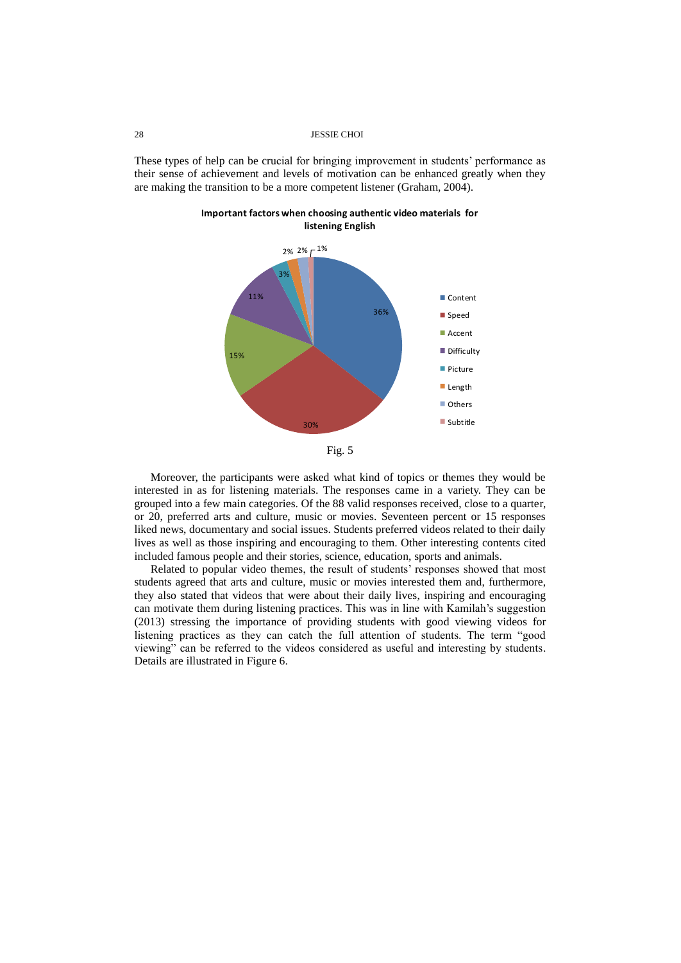These types of help can be crucial for bringing improvement in students' performance as their sense of achievement and levels of motivation can be enhanced greatly when they are making the transition to be a more competent listener (Graham, 2004).



**Important factors when choosing authentic video materials for listening English**

Moreover, the participants were asked what kind of topics or themes they would be interested in as for listening materials. The responses came in a variety. They can be grouped into a few main categories. Of the 88 valid responses received, close to a quarter, or 20, preferred arts and culture, music or movies. Seventeen percent or 15 responses liked news, documentary and social issues. Students preferred videos related to their daily lives as well as those inspiring and encouraging to them. Other interesting contents cited included famous people and their stories, science, education, sports and animals.

Related to popular video themes, the result of students' responses showed that most students agreed that arts and culture, music or movies interested them and, furthermore, they also stated that videos that were about their daily lives, inspiring and encouraging can motivate them during listening practices. This was in line with Kamilah's suggestion (2013) stressing the importance of providing students with good viewing videos for listening practices as they can catch the full attention of students. The term "good viewing" can be referred to the videos considered as useful and interesting by students. Details are illustrated in Figure 6.

Fig. 5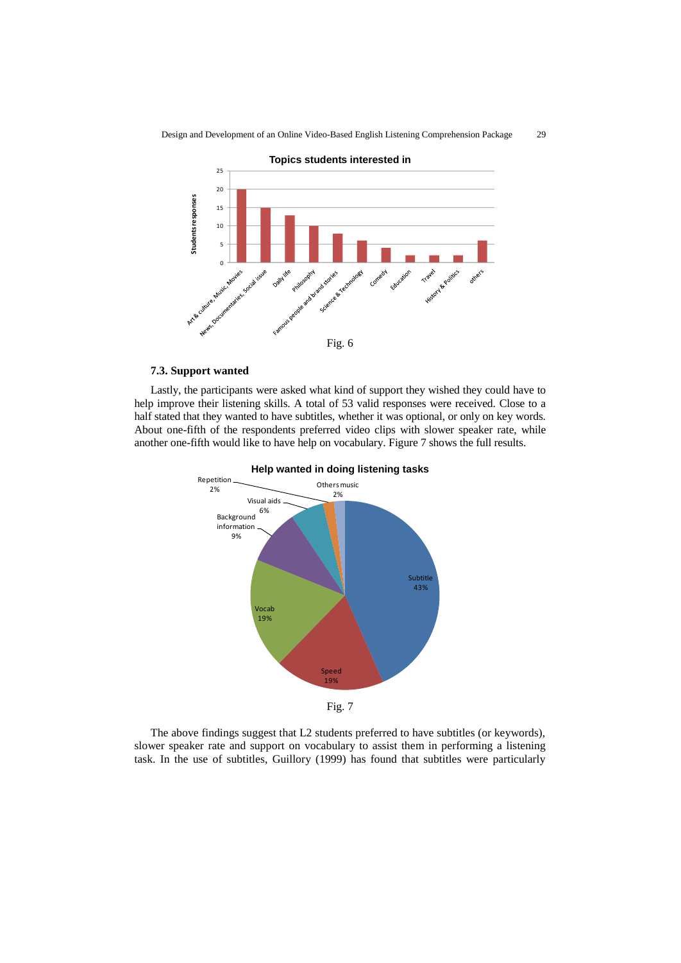

Design and Development of an Online Video-Based English Listening Comprehension Package 29



Lastly, the participants were asked what kind of support they wished they could have to help improve their listening skills. A total of 53 valid responses were received. Close to a half stated that they wanted to have subtitles, whether it was optional, or only on key words. About one-fifth of the respondents preferred video clips with slower speaker rate, while another one-fifth would like to have help on vocabulary. Figure 7 shows the full results.



The above findings suggest that L2 students preferred to have subtitles (or keywords), slower speaker rate and support on vocabulary to assist them in performing a listening task. In the use of subtitles, Guillory (1999) has found that subtitles were particularly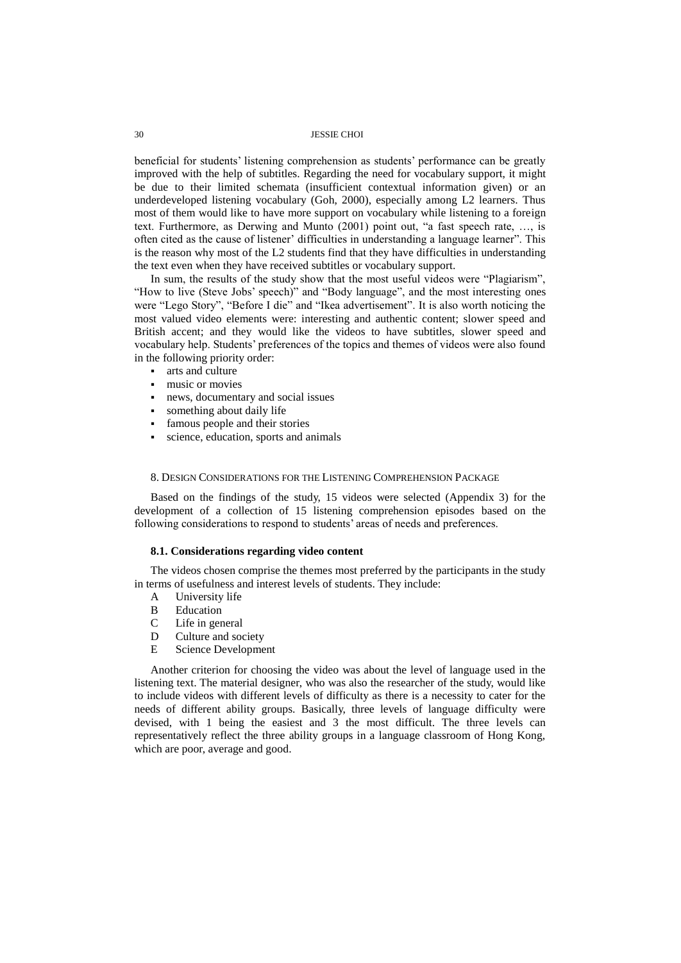beneficial for students' listening comprehension as students' performance can be greatly improved with the help of subtitles. Regarding the need for vocabulary support, it might be due to their limited schemata (insufficient contextual information given) or an underdeveloped listening vocabulary (Goh, 2000), especially among L2 learners. Thus most of them would like to have more support on vocabulary while listening to a foreign text. Furthermore, as Derwing and Munto (2001) point out, "a fast speech rate, …, is often cited as the cause of listener' difficulties in understanding a language learner". This is the reason why most of the L2 students find that they have difficulties in understanding the text even when they have received subtitles or vocabulary support.

In sum, the results of the study show that the most useful videos were "Plagiarism", "How to live (Steve Jobs' speech)" and "Body language", and the most interesting ones were "Lego Story", "Before I die" and "Ikea advertisement". It is also worth noticing the most valued video elements were: interesting and authentic content; slower speed and British accent; and they would like the videos to have subtitles, slower speed and vocabulary help. Students' preferences of the topics and themes of videos were also found in the following priority order:

- arts and culture
- music or movies
- news, documentary and social issues
- something about daily life
- famous people and their stories
- science, education, sports and animals

#### 8. DESIGN CONSIDERATIONS FOR THE LISTENING COMPREHENSION PACKAGE

Based on the findings of the study, 15 videos were selected (Appendix 3) for the development of a collection of 15 listening comprehension episodes based on the following considerations to respond to students' areas of needs and preferences.

#### **8.1. Considerations regarding video content**

The videos chosen comprise the themes most preferred by the participants in the study in terms of usefulness and interest levels of students. They include:

- A University life
- B Education
- C Life in general
- D Culture and society
- E Science Development

Another criterion for choosing the video was about the level of language used in the listening text. The material designer, who was also the researcher of the study, would like to include videos with different levels of difficulty as there is a necessity to cater for the needs of different ability groups. Basically, three levels of language difficulty were devised, with 1 being the easiest and 3 the most difficult. The three levels can representatively reflect the three ability groups in a language classroom of Hong Kong, which are poor, average and good.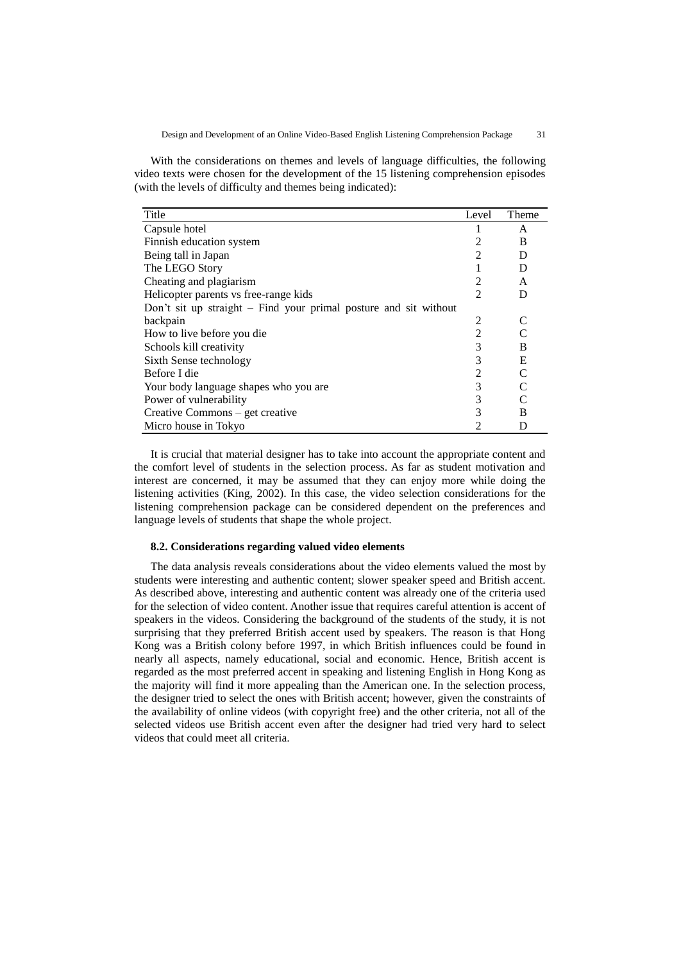With the considerations on themes and levels of language difficulties, the following video texts were chosen for the development of the 15 listening comprehension episodes (with the levels of difficulty and themes being indicated):

| Title                                                            | Level          | Theme |
|------------------------------------------------------------------|----------------|-------|
| Capsule hotel                                                    |                | A     |
| Finnish education system                                         | 2              | B     |
| Being tall in Japan                                              | $\overline{c}$ | D     |
| The LEGO Story                                                   |                | D     |
| Cheating and plagiarism                                          | 2              | A     |
| Helicopter parents vs free-range kids                            | $\mathfrak{D}$ | D     |
| Don't sit up straight – Find your primal posture and sit without |                |       |
| backpain                                                         | 2              |       |
| How to live before you die                                       | $\overline{2}$ |       |
| Schools kill creativity                                          | 3              | B     |
| Sixth Sense technology                                           | 3              | E     |
| Before I die                                                     | $\overline{2}$ |       |
| Your body language shapes who you are                            | 3              |       |
| Power of vulnerability                                           | 3              |       |
| Creative Commons - get creative                                  | 3              | B     |
| Micro house in Tokyo                                             | $\mathfrak{D}$ | D     |

It is crucial that material designer has to take into account the appropriate content and the comfort level of students in the selection process. As far as student motivation and interest are concerned, it may be assumed that they can enjoy more while doing the listening activities (King, 2002). In this case, the video selection considerations for the listening comprehension package can be considered dependent on the preferences and language levels of students that shape the whole project.

## **8.2. Considerations regarding valued video elements**

The data analysis reveals considerations about the video elements valued the most by students were interesting and authentic content; slower speaker speed and British accent. As described above, interesting and authentic content was already one of the criteria used for the selection of video content. Another issue that requires careful attention is accent of speakers in the videos. Considering the background of the students of the study, it is not surprising that they preferred British accent used by speakers. The reason is that Hong Kong was a British colony before 1997, in which British influences could be found in nearly all aspects, namely educational, social and economic. Hence, British accent is regarded as the most preferred accent in speaking and listening English in Hong Kong as the majority will find it more appealing than the American one. In the selection process, the designer tried to select the ones with British accent; however, given the constraints of the availability of online videos (with copyright free) and the other criteria, not all of the selected videos use British accent even after the designer had tried very hard to select videos that could meet all criteria.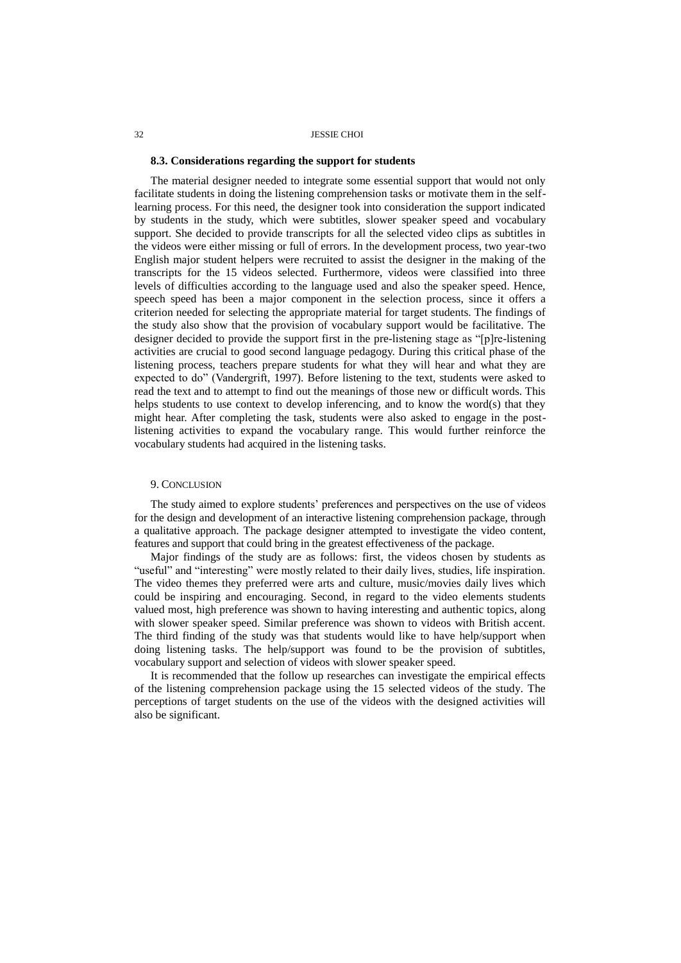### **8.3. Considerations regarding the support for students**

The material designer needed to integrate some essential support that would not only facilitate students in doing the listening comprehension tasks or motivate them in the selflearning process. For this need, the designer took into consideration the support indicated by students in the study, which were subtitles, slower speaker speed and vocabulary support. She decided to provide transcripts for all the selected video clips as subtitles in the videos were either missing or full of errors. In the development process, two year-two English major student helpers were recruited to assist the designer in the making of the transcripts for the 15 videos selected. Furthermore, videos were classified into three levels of difficulties according to the language used and also the speaker speed. Hence, speech speed has been a major component in the selection process, since it offers a criterion needed for selecting the appropriate material for target students. The findings of the study also show that the provision of vocabulary support would be facilitative. The designer decided to provide the support first in the pre-listening stage as "[p]re-listening activities are crucial to good second language pedagogy. During this critical phase of the listening process, teachers prepare students for what they will hear and what they are expected to do" (Vandergrift, 1997). Before listening to the text, students were asked to read the text and to attempt to find out the meanings of those new or difficult words. This helps students to use context to develop inferencing, and to know the word(s) that they might hear. After completing the task, students were also asked to engage in the postlistening activities to expand the vocabulary range. This would further reinforce the vocabulary students had acquired in the listening tasks.

## 9. CONCLUSION

The study aimed to explore students' preferences and perspectives on the use of videos for the design and development of an interactive listening comprehension package, through a qualitative approach. The package designer attempted to investigate the video content, features and support that could bring in the greatest effectiveness of the package.

Major findings of the study are as follows: first, the videos chosen by students as "useful" and "interesting" were mostly related to their daily lives, studies, life inspiration. The video themes they preferred were arts and culture, music/movies daily lives which could be inspiring and encouraging. Second, in regard to the video elements students valued most, high preference was shown to having interesting and authentic topics, along with slower speaker speed. Similar preference was shown to videos with British accent. The third finding of the study was that students would like to have help/support when doing listening tasks. The help/support was found to be the provision of subtitles, vocabulary support and selection of videos with slower speaker speed.

It is recommended that the follow up researches can investigate the empirical effects of the listening comprehension package using the 15 selected videos of the study. The perceptions of target students on the use of the videos with the designed activities will also be significant.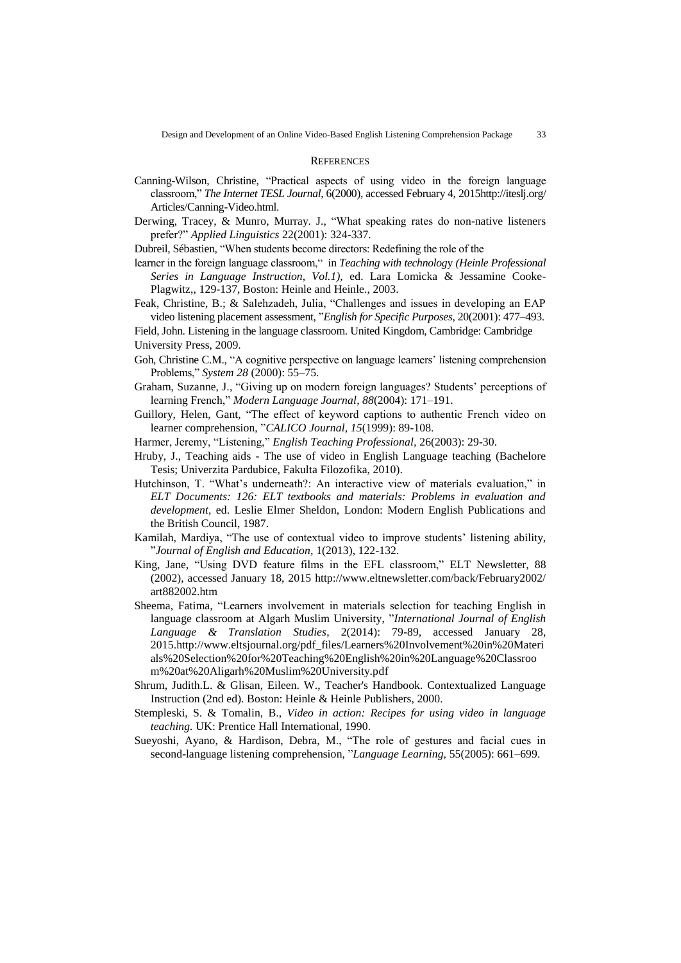#### **REFERENCES**

- Canning-Wilson, Christine, "Practical aspects of using video in the foreign language classroom," *The Internet TESL Journal*, 6(2000), accessed February 4, 201[5http://iteslj.org/](http://iteslj.org/Articles/Canning-Video.html) [Articles/Canning-Video.html.](http://iteslj.org/Articles/Canning-Video.html)
- Derwing, Tracey, & Munro, Murray. J., "What speaking rates do non-native listeners prefer?" *Applied Linguistics* 22(2001): 324-337.
- Dubreil, Sébastien, "When students become directors: Redefining the role of the
- learner in the foreign language classroom," in *Teaching with technolog*y *(Heinle Professional Series in Language Instruction, Vol.1),* ed. Lara Lomicka & Jessamine Cooke-Plagwitz,, 129-137, Boston: Heinle and Heinle., 2003.
- Feak, Christine, B.; & Salehzadeh, Julia, "Challenges and issues in developing an EAP video listening placement assessment, "*English for Specific Purposes,* 20(2001): 477–493.
- Field, John. Listening in the language classroom. United Kingdom, Cambridge: Cambridge University Press, 2009.
- Goh, Christine C.M., "A cognitive perspective on language learners' listening comprehension Problems," *System 28* (2000): 55–75.
- Graham, Suzanne, J., "Giving up on modern foreign languages? Students' perceptions of learning French," *Modern Language Journal, 88*(2004): 171–191.
- Guillory, Helen, Gant, "The effect of keyword captions to authentic French video on learner comprehension, "*CALICO Journal, 15*(1999): 89-108.
- Harmer, Jeremy, "Listening," *English Teaching Professional,* 26(2003): 29-30.
- Hruby, J., Teaching aids The use of video in English Language teaching (Bachelore Tesis; Univerzita Pardubice, Fakulta Filozofika, 2010).
- Hutchinson, T. "What's underneath?: An interactive view of materials evaluation," in *ELT Documents: 126: ELT textbooks and materials: Problems in evaluation and development,* ed. Leslie Elmer Sheldon, London: Modern English Publications and the British Council, 1987.
- Kamilah, Mardiya, "The use of contextual video to improve students' listening ability, "*Journal of English and Education,* 1(2013), 122-132.
- King, Jane, "Using DVD feature films in the EFL classroom," ELT Newsletter, 88 (2002), accessed January 18, 2015 [http://www.eltnewsletter.com/back/February2002/](http://www.eltnewsletter.com/back/February2002/art882002.htm) [art882002.htm](http://www.eltnewsletter.com/back/February2002/art882002.htm)
- Sheema, Fatima, "Learners involvement in materials selection for teaching English in language classroom at Algarh Muslim University, "*International Journal of English Language & Translation Studies*, 2(2014): 79-89, accessed January 28, 2015.http://www.eltsjournal.org/pdf\_files/Learners%20Involvement%20in%20Materi als%20Selection%20for%20Teaching%20English%20in%20Language%20Classroo m%20at%20Aligarh%20Muslim%20University.pdf
- Shrum, Judith.L. & Glisan, Eileen. W., Teacher's Handbook. Contextualized Language Instruction (2nd ed). Boston: Heinle & Heinle Publishers, 2000.
- Stempleski, S. & Tomalin, B., *Video in action: Recipes for using video in language teaching.* UK: Prentice Hall International, 1990.
- Sueyoshi, Ayano, & Hardison, Debra, M., "The role of gestures and facial cues in second-language listening comprehension, "*Language Learning,* 55(2005): 661–699.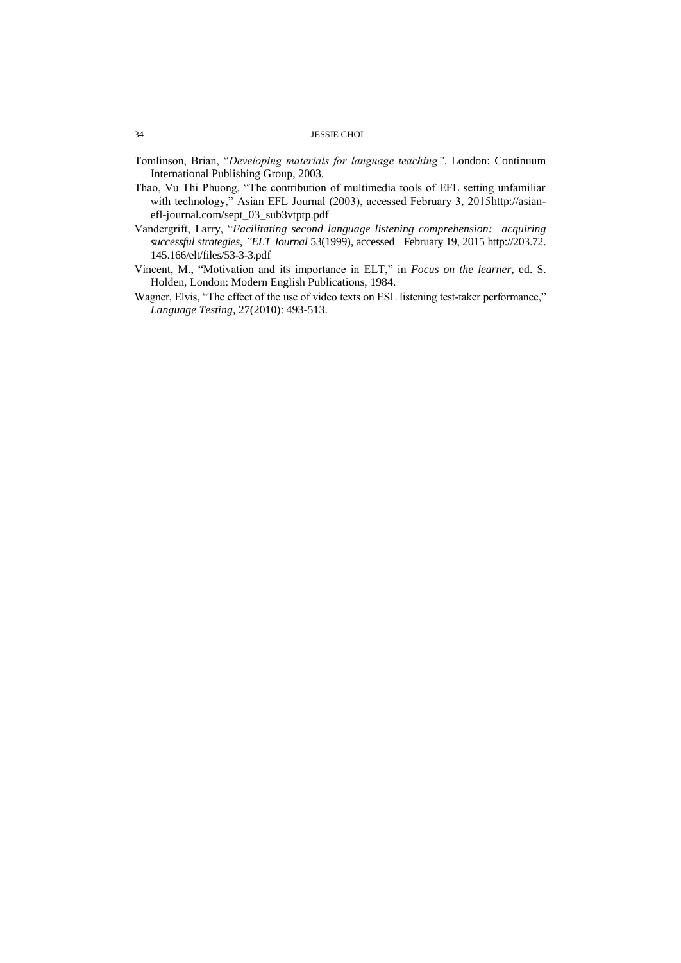- Tomlinson, Brian, "*Developing materials for language teaching"*. London: Continuum International Publishing Group, 2003.
- Thao, Vu Thi Phuong, "The contribution of multimedia tools of EFL setting unfamiliar with technology," Asian EFL Journal (2003), accessed February 3, 2015http://asianefl-journal.com/sept\_03\_sub3vtptp.pdf
- Vandergrift, Larry, "*Facilitating second language listening comprehension: acquiring successful strategies, "ELT Journal* 53(1999), accessed February 19, 2015 [http://203.72.](http://203.72.145.166/elt/files/53-3-3.pdf) [145.166/elt/files/53-3-3.pdf](http://203.72.145.166/elt/files/53-3-3.pdf)
- Vincent, M., "Motivation and its importance in ELT," in *Focus on the learner*, ed. S. Holden, London: Modern English Publications, 1984.
- Wagner, Elvis, "The effect of the use of video texts on ESL listening test-taker performance," *Language Testing,* 27(2010): 493-513.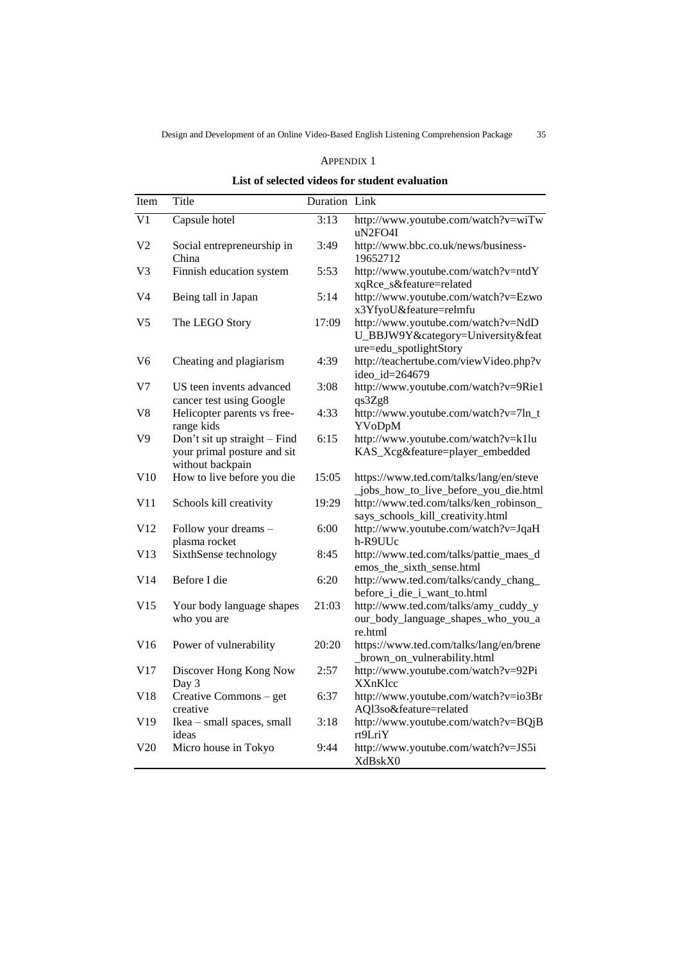## APPENDIX 1

| List of selected videos for student evaluation |  |  |  |
|------------------------------------------------|--|--|--|
|------------------------------------------------|--|--|--|

| Item           | Title                                                                           | Duration Link |                                                                                                   |
|----------------|---------------------------------------------------------------------------------|---------------|---------------------------------------------------------------------------------------------------|
| V <sub>1</sub> | Capsule hotel                                                                   | 3:13          | http://www.youtube.com/watch?v=wiTw<br>uN2FO4I                                                    |
| V <sub>2</sub> | Social entrepreneurship in<br>China                                             | 3:49          | http://www.bbc.co.uk/news/business-<br>19652712                                                   |
| V3             | Finnish education system                                                        | 5:53          | http://www.youtube.com/watch?v=ntdY<br>xqRce_s&feature=related                                    |
| V4             | Being tall in Japan                                                             | 5:14          | http://www.youtube.com/watch?v=Ezwo<br>x3YfyoU&feature=relmfu                                     |
| V <sub>5</sub> | The LEGO Story                                                                  | 17:09         | http://www.youtube.com/watch?v=NdD<br>U_BBJW9Y&category=University&feat<br>ure=edu_spotlightStory |
| V6             | Cheating and plagiarism                                                         | 4:39          | http://teachertube.com/viewVideo.php?v<br>ideo_id=264679                                          |
| V7             | US teen invents advanced<br>cancer test using Google                            | 3:08          | http://www.youtube.com/watch?v=9Rie1<br>qs3Zg8                                                    |
| V8             | Helicopter parents vs free-<br>range kids                                       | 4:33          | http://www.youtube.com/watch?v=7ln_t<br>YVoDpM                                                    |
| V9             | Don't sit up straight - Find<br>your primal posture and sit<br>without backpain | 6:15          | http://www.youtube.com/watch?v=k1lu<br>KAS_Xcg&feature=player_embedded                            |
| V10            | How to live before you die                                                      | 15:05         | https://www.ted.com/talks/lang/en/steve<br>_jobs_how_to_live_before_you_die.html                  |
| V11            | Schools kill creativity                                                         | 19:29         | http://www.ted.com/talks/ken_robinson_<br>says_schools_kill_creativity.html                       |
| V12            | Follow your dreams -<br>plasma rocket                                           | 6:00          | http://www.youtube.com/watch?v=JqaH<br>h-R9UUc                                                    |
| V13            | SixthSense technology                                                           | 8:45          | http://www.ted.com/talks/pattie_maes_d<br>emos_the_sixth_sense.html                               |
| V14            | Before I die                                                                    | 6:20          | http://www.ted.com/talks/candy_chang_<br>before_i_die_i_want_to.html                              |
| V15            | Your body language shapes<br>who you are                                        | 21:03         | http://www.ted.com/talks/amy_cuddy_y<br>our_body_language_shapes_who_you_a<br>re.html             |
| V16            | Power of vulnerability                                                          | 20:20         | https://www.ted.com/talks/lang/en/brene<br>_brown_on_vulnerability.html                           |
| V17            | Discover Hong Kong Now<br>Day 3                                                 | 2:57          | http://www.youtube.com/watch?v=92Pi<br><b>XXnKlcc</b>                                             |
| V18            | Creative Commons - get<br>creative                                              | 6:37          | http://www.youtube.com/watch?v=io3Br<br>AQl3so&feature=related                                    |
| V19            | Ikea - small spaces, small<br>ideas                                             | 3:18          | http://www.youtube.com/watch?v=BQjB<br>rt9LriY                                                    |
| V20            | Micro house in Tokyo                                                            | 9:44          | http://www.youtube.com/watch?v=JS5i<br>XdBskX0                                                    |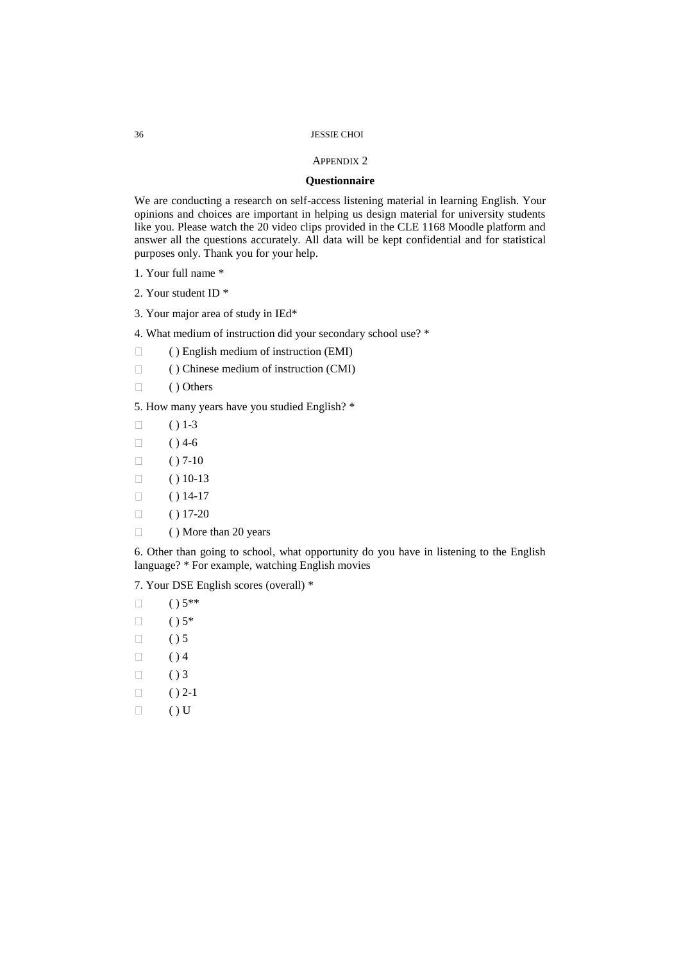#### APPENDIX 2

## **Questionnaire**

We are conducting a research on self-access listening material in learning English. Your opinions and choices are important in helping us design material for university students like you. Please watch the 20 video clips provided in the CLE 1168 Moodle platform and answer all the questions accurately. All data will be kept confidential and for statistical purposes only. Thank you for your help.

- 1. Your full name \*
- 2. Your student ID \*
- 3. Your major area of study in IEd\*

4. What medium of instruction did your secondary school use? \*

- $\Box$  ( ) English medium of instruction (EMI)
- ( ) Chinese medium of instruction (CMI)
- $\Box$  ( ) Others

5. How many years have you studied English? \*

- $\Box$  ( ) 1-3
- $\Box$  ( ) 4-6
- $\Box$  ( ) 7-10
- $\Box$  ( ) 10-13
- $\Box$  ( ) 14-17
- $\Box$  ( ) 17-20
- $\Box$  ( ) More than 20 years

6. Other than going to school, what opportunity do you have in listening to the English language? \* For example, watching English movies

7. Your DSE English scores (overall) \*

- $\Box$  ( )  $5**$
- $\Box$  ( )  $5^*$
- $\Box$  () 5
- $\Box$  ( ) 4
- $\Box$  () 3
- 
- $\Box$  ( ) 2-1
- $\Box$  ( ) U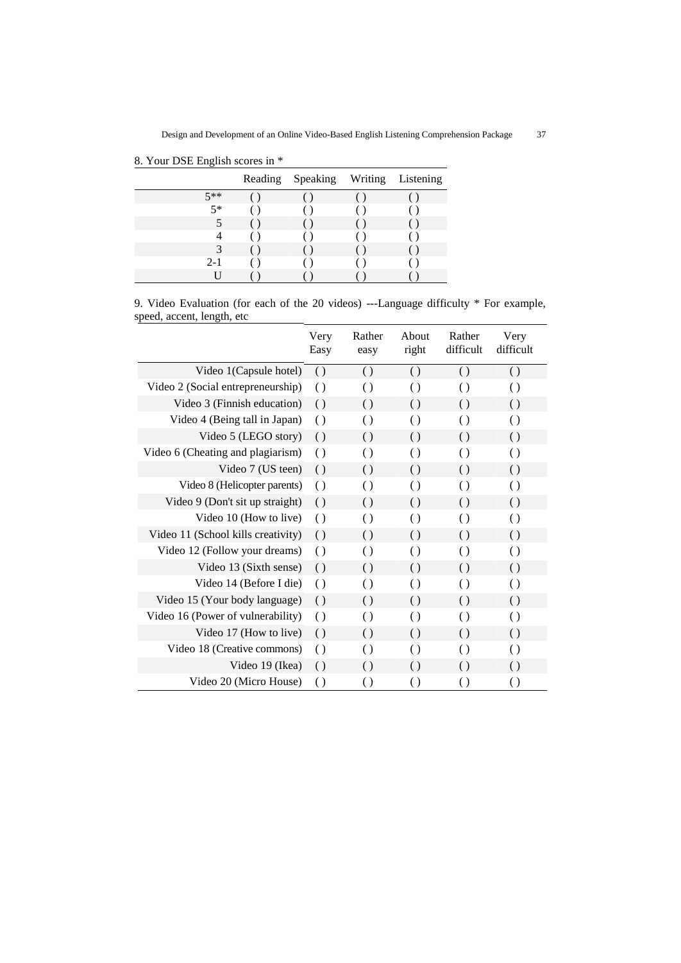|         | Reading Speaking Writing Listening |  |
|---------|------------------------------------|--|
| $5**$   |                                    |  |
| $5*$    |                                    |  |
|         |                                    |  |
| 4       |                                    |  |
| 3       |                                    |  |
| $2 - 1$ |                                    |  |
|         |                                    |  |

8. Your DSE English scores in \*

9. Video Evaluation (for each of the 20 videos) ---Language difficulty \* For example, speed, accent, length, etc

|                                    | Very<br>Easy     | Rather<br>easy     | About<br>right     | Rather<br>difficult | Very<br>difficult  |
|------------------------------------|------------------|--------------------|--------------------|---------------------|--------------------|
| Video 1(Capsule hotel)             | $\left( \right)$ | $\left( \ \right)$ | $\left( \right)$   | $\left( \ \right)$  | $\left( \ \right)$ |
| Video 2 (Social entrepreneurship)  | $\left( \right)$ | $\left( \right)$   | $\left( \right)$   | $\left( \right)$    | $\left( \right)$   |
| Video 3 (Finnish education)        | $\left( \right)$ | $\left( \right)$   | $\left( \right)$   | $\left( \ \right)$  | $\left( \right)$   |
| Video 4 (Being tall in Japan)      | $\left( \right)$ | $\left( \right)$   | $\left( \right)$   | $\left( \right)$    | $\left( \right)$   |
| Video 5 (LEGO story)               | $\left( \right)$ | $\left( \right)$   | $\left( \right)$   | $\left( \right)$    | $\left( \right)$   |
| Video 6 (Cheating and plagiarism)  | $\left( \right)$ | $\left( \right)$   | $\left( \right)$   | $\left( \right)$    | $\left( \right)$   |
| Video 7 (US teen)                  | $\left( \right)$ | $\left( \right)$   | $\left( \right)$   | $\left( \ \right)$  | $\left( \right)$   |
| Video 8 (Helicopter parents)       | $\left( \right)$ | $\left( \right)$   | $\left( \right)$   | $\left( \right)$    | $\left( \right)$   |
| Video 9 (Don't sit up straight)    | $\left( \right)$ | $\left( \right)$   | $\left( \right)$   | $\left( \ \right)$  | $\left( \right)$   |
| Video 10 (How to live)             | $\left( \right)$ | $\left( \right)$   | $\left( \right)$   | $\left( \right)$    | $\left( \right)$   |
| Video 11 (School kills creativity) | $\left( \right)$ | $\left( \right)$   | $\left( \right)$   | $\left( \right)$    | $\left( \right)$   |
| Video 12 (Follow your dreams)      | $\left( \right)$ | $\left( \right)$   | $\left( \right)$   | $\left( \right)$    | $\left( \right)$   |
| Video 13 (Sixth sense)             | $\left( \right)$ | $\left( \right)$   | $\left( \right)$   | $\left( \ \right)$  | $\left( \right)$   |
| Video 14 (Before I die)            | $\left( \right)$ | $\left( \right)$   | $\left( \right)$   | $\left( \ \right)$  | $\left( \ \right)$ |
| Video 15 (Your body language)      | $\left( \right)$ | $\left( \right)$   | $\left( \ \right)$ | $\left( \ \right)$  | $\left( \right)$   |
| Video 16 (Power of vulnerability)  | $\left( \right)$ | $\left( \right)$   | $\left( \right)$   | $\left( \right)$    | $\left( \right)$   |
| Video 17 (How to live)             | $\left( \right)$ | $\left( \right)$   | $\left( \ \right)$ | $\left( \ \right)$  | $\left( \right)$   |
| Video 18 (Creative commons)        | $\left( \right)$ | $\left( \right)$   | $\left( \right)$   | $\left( \right)$    | $\left( \right)$   |
| Video 19 (Ikea)                    | $\left( \right)$ | $\left( \right)$   | $\left( \right)$   | $\left( \ \right)$  | $\left( \right)$   |
| Video 20 (Micro House)             | $\left( \right)$ | $\left( \right)$   | $\left( \ \right)$ | $\left( \right)$    | $\left( \right)$   |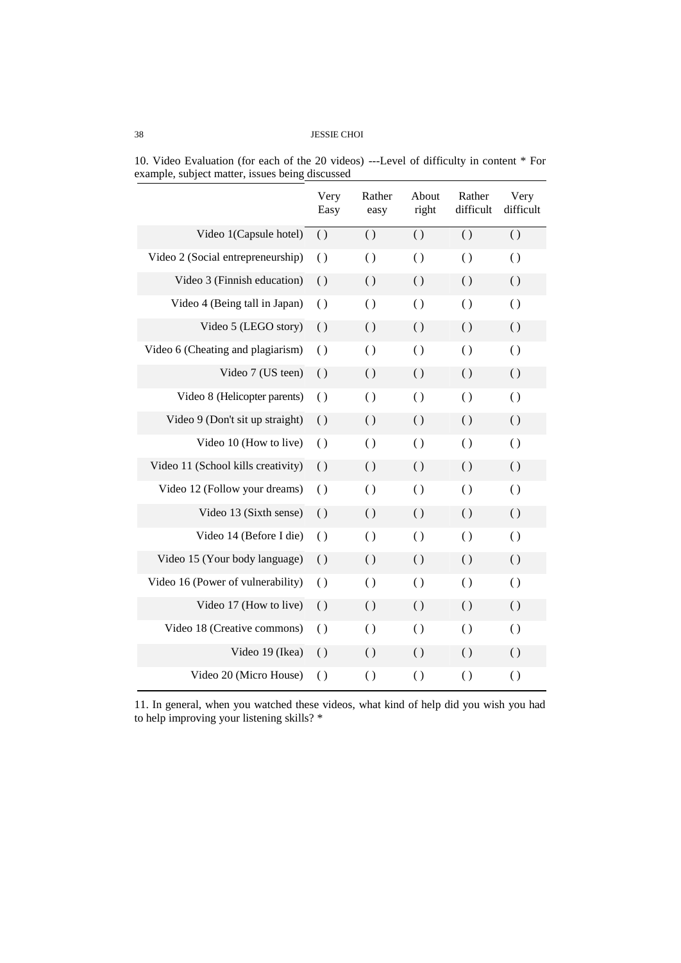|                                    | Very<br>Easy       | Rather<br>easy     | About<br>right     | Rather<br>difficult | Very<br>difficult  |
|------------------------------------|--------------------|--------------------|--------------------|---------------------|--------------------|
| Video 1(Capsule hotel)             | $\left( \right)$   | $\left( \right)$   | $\left( \right)$   | $\left( \right)$    | $\left( \right)$   |
| Video 2 (Social entrepreneurship)  | $\left( \right)$   | $\left( \right)$   | $\left( \right)$   | $\left( \right)$    | $\left( \right)$   |
| Video 3 (Finnish education)        | $\left( \right)$   | $\left( \right)$   | $\left( \right)$   | $\left( \right)$    | $\left( \right)$   |
| Video 4 (Being tall in Japan)      | $\left( \right)$   | $\left( \right)$   | $\left( \right)$   | $\left( \right)$    | $\left( \right)$   |
| Video 5 (LEGO story)               | $\left( \right)$   | $\left( \right)$   | $\left( \right)$   | $\left( \right)$    | $\left( \right)$   |
| Video 6 (Cheating and plagiarism)  | $\left( \right)$   | $\left( \right)$   | $\left( \right)$   | $\left( \right)$    | $\left( \right)$   |
| Video 7 (US teen)                  | $\left( \right)$   | $\left( \ \right)$ | $\left( \ \right)$ | $\left( \right)$    | $\left( \ \right)$ |
| Video 8 (Helicopter parents)       | $\left( \right)$   | $\left( \right)$   | $\left( \right)$   | $\left( \right)$    | $\left( \right)$   |
| Video 9 (Don't sit up straight)    | $\left( \right)$   | $\left( \right)$   | $\left( \right)$   | $\left( \right)$    | $\left( \right)$   |
| Video 10 (How to live)             | $\left( \right)$   | $\left( \right)$   | $\left( \right)$   | $\left( \right)$    | $\left( \right)$   |
| Video 11 (School kills creativity) | $\left( \right)$   | $\left( \ \right)$ | ( )                | $\left( \right)$    | $\left( \ \right)$ |
| Video 12 (Follow your dreams)      | $\left( \right)$   | $\left( \right)$   | $\left( \right)$   | $\left( \right)$    | $\left( \right)$   |
| Video 13 (Sixth sense)             | $\left( \right)$   | $\left( \right)$   | $\left( \right)$   | $\left( \right)$    | $\left( \right)$   |
| Video 14 (Before I die)            | $\left( \right)$   | $\left( \right)$   | $\left( \right)$   | $\left( \right)$    | $\left( \right)$   |
| Video 15 (Your body language)      | $\left( \right)$   | $\left( \ \right)$ | $\left( \right)$   | $\left( \right)$    | $\left( \ \right)$ |
| Video 16 (Power of vulnerability)  | $\left( \right)$   | $\left( \right)$   | $\left( \right)$   | $\left( \right)$    | $\left( \right)$   |
| Video 17 (How to live)             | $\left( \right)$   | $\left( \right)$   | $\left( \right)$   | $\left( \right)$    | $\left( \right)$   |
| Video 18 (Creative commons)        | $\left( \right)$   | $\left( \right)$   | $\left( \right)$   | $\left( \right)$    | $\left( \right)$   |
| Video 19 (Ikea)                    | $\left( \ \right)$ | $\left( \right)$   | $\left( \ \right)$ | $\left( \ \right)$  | $\left( \ \right)$ |
| Video 20 (Micro House)             | $\left( \right)$   | $\left( \right)$   | $\left( \right)$   | $\left( \right)$    | $\left( \right)$   |

10. Video Evaluation (for each of the 20 videos) ---Level of difficulty in content \* For example, subject matter, issues being discussed

11. In general, when you watched these videos, what kind of help did you wish you had to help improving your listening skills? \*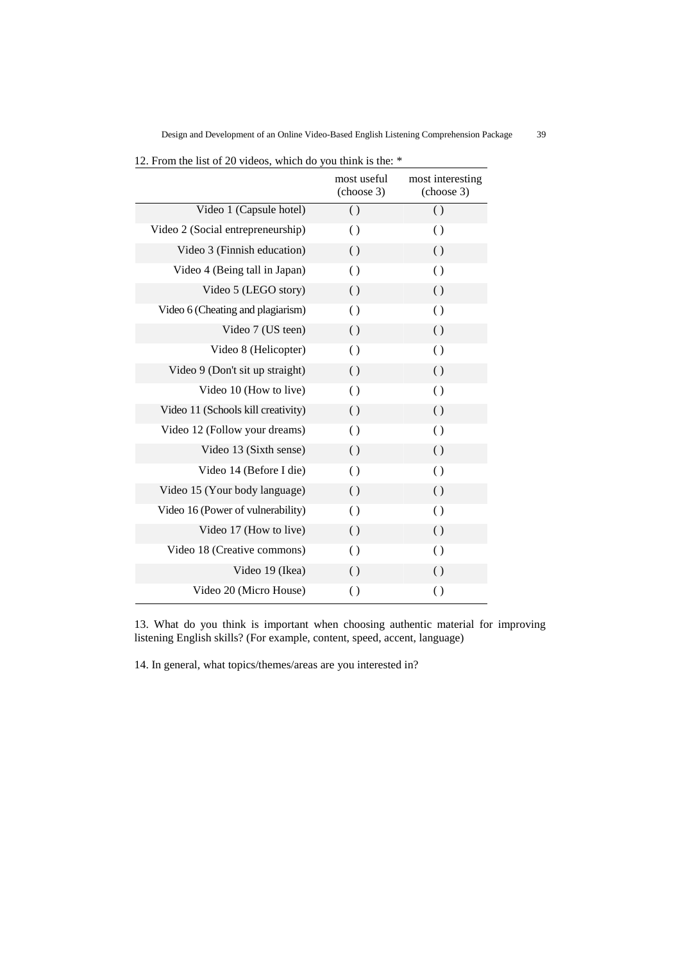|                                    | most useful<br>(choose 3) | most interesting<br>(choose 3) |
|------------------------------------|---------------------------|--------------------------------|
| Video 1 (Capsule hotel)            | $\left( \right)$          | $\left( \right)$               |
| Video 2 (Social entrepreneurship)  | $\left( \right)$          | $\left( \right)$               |
| Video 3 (Finnish education)        | $\left( \right)$          | $\left( \ \right)$             |
| Video 4 (Being tall in Japan)      | $\left( \right)$          | $\left( \right)$               |
| Video 5 (LEGO story)               | $\left( \right)$          | $\left( \ \right)$             |
| Video 6 (Cheating and plagiarism)  | $\left( \right)$          | $\left( \right)$               |
| Video 7 (US teen)                  | $\left( \right)$          | $\left( \right)$               |
| Video 8 (Helicopter)               | $\left( \right)$          | $\left( \right)$               |
| Video 9 (Don't sit up straight)    | $\left( \right)$          | $\left( \ \right)$             |
| Video 10 (How to live)             | $\left( \right)$          | $\left( \right)$               |
| Video 11 (Schools kill creativity) | $\left( \right)$          | $\left( \ \right)$             |
| Video 12 (Follow your dreams)      | $\left( \right)$          | $\left( \right)$               |
| Video 13 (Sixth sense)             | $\left( \right)$          | $\left( \ \right)$             |
| Video 14 (Before I die)            | $\left( \right)$          | $\left( \right)$               |
| Video 15 (Your body language)      | $\left( \right)$          | $\left( \right)$               |
| Video 16 (Power of vulnerability)  | $\left( \right)$          | $\left( \right)$               |
| Video 17 (How to live)             | $\left( \right)$          | $\left( \ \right)$             |
| Video 18 (Creative commons)        | $\left( \right)$          | $\left( \right)$               |
| Video 19 (Ikea)                    | $\left( \right)$          | $\left( \ \right)$             |
| Video 20 (Micro House)             | $\left( \right)$          | $\left( \right)$               |

13. What do you think is important when choosing authentic material for improving listening English skills? (For example, content, speed, accent, language)

14. In general, what topics/themes/areas are you interested in?